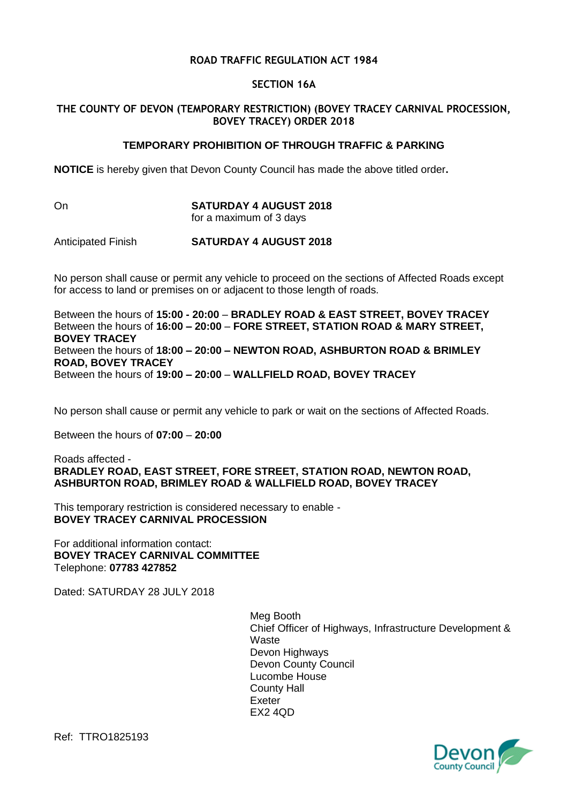# **ROAD TRAFFIC REGULATION ACT 1984**

# **SECTION 16A**

# **THE COUNTY OF DEVON (TEMPORARY RESTRICTION) (BOVEY TRACEY CARNIVAL PROCESSION, BOVEY TRACEY) ORDER 2018**

# **TEMPORARY PROHIBITION OF THROUGH TRAFFIC & PARKING**

**NOTICE** is hereby given that Devon County Council has made the above titled order**.**

#### On **SATURDAY 4 AUGUST 2018** for a maximum of 3 days

# Anticipated Finish **SATURDAY 4 AUGUST 2018**

No person shall cause or permit any vehicle to proceed on the sections of Affected Roads except for access to land or premises on or adjacent to those length of roads.

Between the hours of **15:00 - 20:00** – **BRADLEY ROAD & EAST STREET, BOVEY TRACEY** Between the hours of **16:00 – 20:00** – **FORE STREET, STATION ROAD & MARY STREET, BOVEY TRACEY** Between the hours of **18:00 – 20:00 – NEWTON ROAD, ASHBURTON ROAD & BRIMLEY ROAD, BOVEY TRACEY** Between the hours of **19:00 – 20:00** – **WALLFIELD ROAD, BOVEY TRACEY**

No person shall cause or permit any vehicle to park or wait on the sections of Affected Roads.

Between the hours of **07:00** – **20:00**

### Roads affected - **BRADLEY ROAD, EAST STREET, FORE STREET, STATION ROAD, NEWTON ROAD, ASHBURTON ROAD, BRIMLEY ROAD & WALLFIELD ROAD, BOVEY TRACEY**

This temporary restriction is considered necessary to enable - **BOVEY TRACEY CARNIVAL PROCESSION**

For additional information contact: **BOVEY TRACEY CARNIVAL COMMITTEE** Telephone: **07783 427852**

Dated: SATURDAY 28 JULY 2018

Meg Booth Chief Officer of Highways, Infrastructure Development & **Waste** Devon Highways Devon County Council Lucombe House County Hall Exeter EX2 4QD